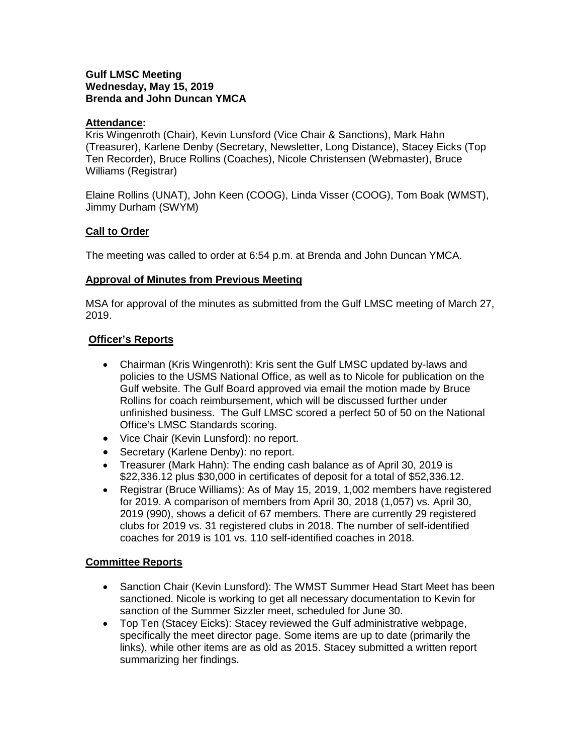#### **Gulf LMSC Meeting Wednesday, May 15, 2019 Brenda and John Duncan YMCA**

#### **Attendance:**

Kris Wingenroth (Chair), Kevin Lunsford (Vice Chair & Sanctions), Mark Hahn (Treasurer), Karlene Denby (Secretary, Newsletter, Long Distance), Stacey Eicks (Top Ten Recorder), Bruce Rollins (Coaches), Nicole Christensen (Webmaster), Bruce Williams (Registrar)

Elaine Rollins (UNAT), John Keen (COOG), Linda Visser (COOG), Tom Boak (WMST), Jimmy Durham (SWYM)

# **Call to Order**

The meeting was called to order at 6:54 p.m. at Brenda and John Duncan YMCA.

# **Approval of Minutes from Previous Meeting**

MSA for approval of the minutes as submitted from the Gulf LMSC meeting of March 27, 2019.

### **Officer's Reports**

- Chairman (Kris Wingenroth): Kris sent the Gulf LMSC updated by-laws and policies to the USMS National Office, as well as to Nicole for publication on the Gulf website. The Gulf Board approved via email the motion made by Bruce Rollins for coach reimbursement, which will be discussed further under unfinished business. The Gulf LMSC scored a perfect 50 of 50 on the National Office's LMSC Standards scoring.
- Vice Chair (Kevin Lunsford): no report.
- Secretary (Karlene Denby): no report.
- Treasurer (Mark Hahn): The ending cash balance as of April 30, 2019 is \$22,336.12 plus \$30,000 in certificates of deposit for a total of \$52,336.12.
- Registrar (Bruce Williams): As of May 15, 2019, 1,002 members have registered for 2019. A comparison of members from April 30, 2018 (1,057) vs. April 30, 2019 (990), shows a deficit of 67 members. There are currently 29 registered clubs for 2019 vs. 31 registered clubs in 2018. The number of self-identified coaches for 2019 is 101 vs. 110 self-identified coaches in 2018.

### **Committee Reports**

- Sanction Chair (Kevin Lunsford): The WMST Summer Head Start Meet has been sanctioned. Nicole is working to get all necessary documentation to Kevin for sanction of the Summer Sizzler meet, scheduled for June 30.
- Top Ten (Stacey Eicks): Stacey reviewed the Gulf administrative webpage, specifically the meet director page. Some items are up to date (primarily the links), while other items are as old as 2015. Stacey submitted a written report summarizing her findings.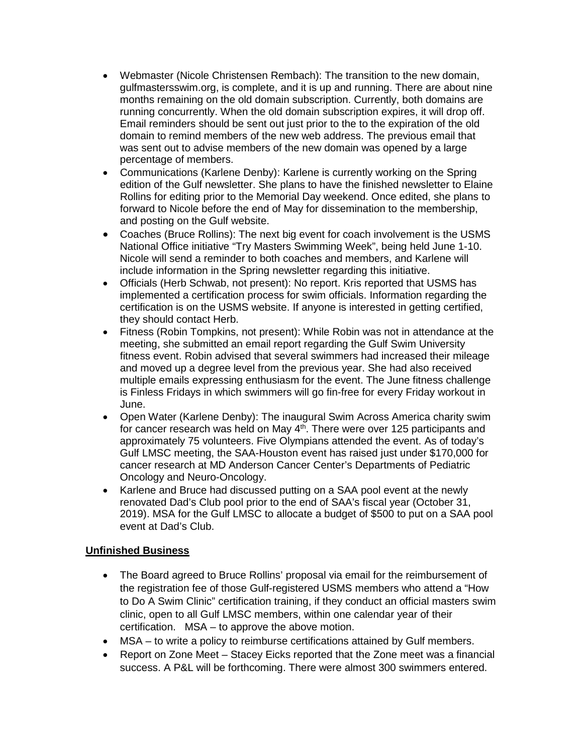- Webmaster (Nicole Christensen Rembach): The transition to the new domain, gulfmastersswim.org, is complete, and it is up and running. There are about nine months remaining on the old domain subscription. Currently, both domains are running concurrently. When the old domain subscription expires, it will drop off. Email reminders should be sent out just prior to the to the expiration of the old domain to remind members of the new web address. The previous email that was sent out to advise members of the new domain was opened by a large percentage of members.
- Communications (Karlene Denby): Karlene is currently working on the Spring edition of the Gulf newsletter. She plans to have the finished newsletter to Elaine Rollins for editing prior to the Memorial Day weekend. Once edited, she plans to forward to Nicole before the end of May for dissemination to the membership, and posting on the Gulf website.
- Coaches (Bruce Rollins): The next big event for coach involvement is the USMS National Office initiative "Try Masters Swimming Week", being held June 1-10. Nicole will send a reminder to both coaches and members, and Karlene will include information in the Spring newsletter regarding this initiative.
- Officials (Herb Schwab, not present): No report. Kris reported that USMS has implemented a certification process for swim officials. Information regarding the certification is on the USMS website. If anyone is interested in getting certified, they should contact Herb.
- Fitness (Robin Tompkins, not present): While Robin was not in attendance at the meeting, she submitted an email report regarding the Gulf Swim University fitness event. Robin advised that several swimmers had increased their mileage and moved up a degree level from the previous year. She had also received multiple emails expressing enthusiasm for the event. The June fitness challenge is Finless Fridays in which swimmers will go fin-free for every Friday workout in June.
- Open Water (Karlene Denby): The inaugural Swim Across America charity swim for cancer research was held on May 4<sup>th</sup>. There were over 125 participants and approximately 75 volunteers. Five Olympians attended the event. As of today's Gulf LMSC meeting, the SAA-Houston event has raised just under \$170,000 for cancer research at MD Anderson Cancer Center's Departments of Pediatric Oncology and Neuro-Oncology.
- Karlene and Bruce had discussed putting on a SAA pool event at the newly renovated Dad's Club pool prior to the end of SAA's fiscal year (October 31, 2019). MSA for the Gulf LMSC to allocate a budget of \$500 to put on a SAA pool event at Dad's Club.

### **Unfinished Business**

- The Board agreed to Bruce Rollins' proposal via email for the reimbursement of the registration fee of those Gulf-registered USMS members who attend a "How to Do A Swim Clinic" certification training, if they conduct an official masters swim clinic, open to all Gulf LMSC members, within one calendar year of their certification. MSA – to approve the above motion.
- MSA to write a policy to reimburse certifications attained by Gulf members.
- Report on Zone Meet Stacey Eicks reported that the Zone meet was a financial success. A P&L will be forthcoming. There were almost 300 swimmers entered.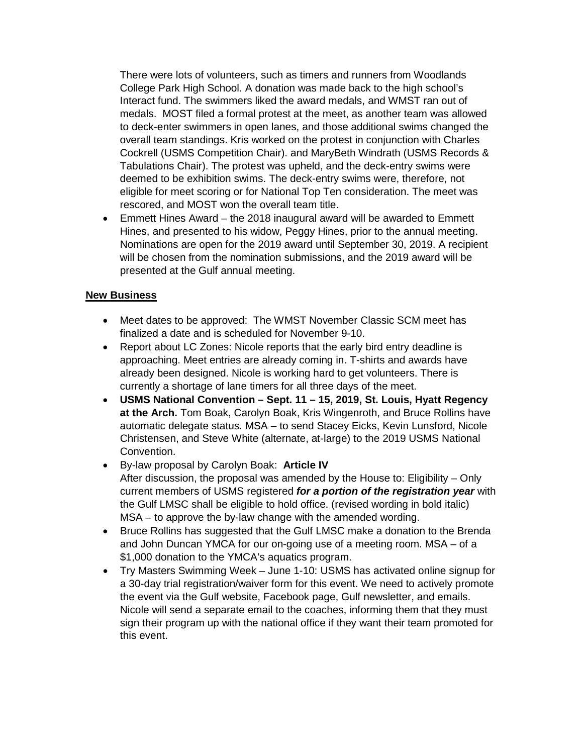There were lots of volunteers, such as timers and runners from Woodlands College Park High School. A donation was made back to the high school's Interact fund. The swimmers liked the award medals, and WMST ran out of medals. MOST filed a formal protest at the meet, as another team was allowed to deck-enter swimmers in open lanes, and those additional swims changed the overall team standings. Kris worked on the protest in conjunction with Charles Cockrell (USMS Competition Chair). and MaryBeth Windrath (USMS Records & Tabulations Chair). The protest was upheld, and the deck-entry swims were deemed to be exhibition swims. The deck-entry swims were, therefore, not eligible for meet scoring or for National Top Ten consideration. The meet was rescored, and MOST won the overall team title.

• Emmett Hines Award – the 2018 inaugural award will be awarded to Emmett Hines, and presented to his widow, Peggy Hines, prior to the annual meeting. Nominations are open for the 2019 award until September 30, 2019. A recipient will be chosen from the nomination submissions, and the 2019 award will be presented at the Gulf annual meeting.

# **New Business**

- Meet dates to be approved: The WMST November Classic SCM meet has finalized a date and is scheduled for November 9-10.
- Report about LC Zones: Nicole reports that the early bird entry deadline is approaching. Meet entries are already coming in. T-shirts and awards have already been designed. Nicole is working hard to get volunteers. There is currently a shortage of lane timers for all three days of the meet.
- **USMS National Convention – Sept. 11 – 15, 2019, St. Louis, Hyatt Regency at the Arch.** Tom Boak, Carolyn Boak, Kris Wingenroth, and Bruce Rollins have automatic delegate status. MSA – to send Stacey Eicks, Kevin Lunsford, Nicole Christensen, and Steve White (alternate, at-large) to the 2019 USMS National Convention.
- By-law proposal by Carolyn Boak: **Article IV** After discussion, the proposal was amended by the House to: Eligibility – Only current members of USMS registered *for a portion of the registration year* with the Gulf LMSC shall be eligible to hold office. (revised wording in bold italic) MSA – to approve the by-law change with the amended wording.
- Bruce Rollins has suggested that the Gulf LMSC make a donation to the Brenda and John Duncan YMCA for our on-going use of a meeting room. MSA – of a \$1,000 donation to the YMCA's aquatics program.
- Try Masters Swimming Week June 1-10: USMS has activated online signup for a 30-day trial registration/waiver form for this event. We need to actively promote the event via the Gulf website, Facebook page, Gulf newsletter, and emails. Nicole will send a separate email to the coaches, informing them that they must sign their program up with the national office if they want their team promoted for this event.